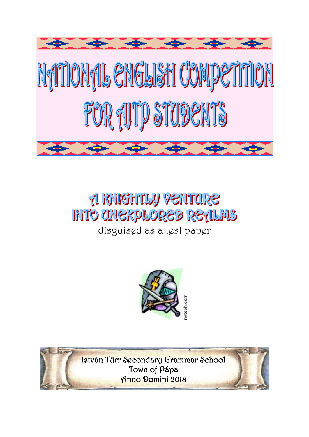

# **A RAIGHTLY VENTORE INTO CHIEXPLORED RETLINS**

disguised as a test paper



István Türr Secondary Grammar School Town of Pápa Anno Domini 2018

 $\overline{\phantom{a}}$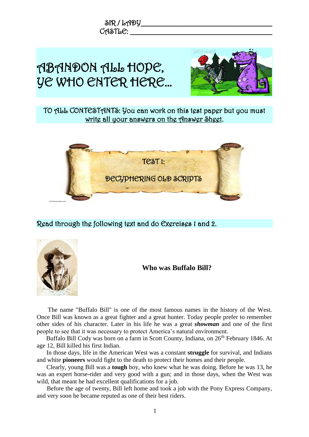



Read through the following text and do Exercises 1 and 2.



**Who was Buffalo Bill?**

The name "Buffalo Bill" is one of the most famous names in the history of the West. Once Bill was known as a great fighter and a great hunter. Today people prefer to remember other sides of his character. Later in his life he was a great *showman* and one of the first people to see that it was necessary to protect America's natural environment.

Buffalo Bill Cody was born on a farm in Scott County, Indiana, on 26<sup>th</sup> February 1846. At age 12, Bill killed his first Indian.

In those days, life in the American West was a constant **struggle** for survival, and Indians and white **pioneers** would fight to the death to protect their homes and their people.

Clearly, young Bill was a **tough** boy, who knew what he was doing. Before he was 13, he was an expert horse-rider and very good with a gun; and in those days, when the West was wild, that meant he had excellent qualifications for a job.

Before the age of twenty, Bill left home and took a job with the Pony Express Company, and very soon he became reputed as one of their best riders.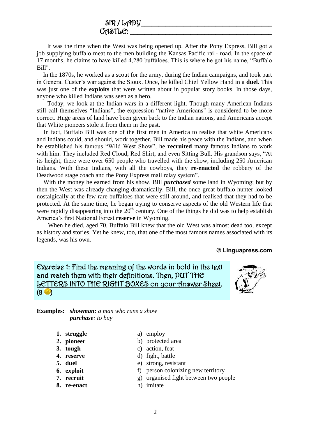### $\delta$ IR / LADY  $C$ ASTL $C:$

 It was the time when the West was being opened up. After the Pony Express, Bill got a job supplying buffalo meat to the men building the Kansas Pacific rail- road. In the space of 17 months, he claims to have killed 4,280 buffaloes. This is where he got his name, "Buffalo Bill".

 In the 1870s, he worked as a scout for the army, during the Indian campaigns, and took part in General Custer's war against the Sioux. Once, he killed Chief Yellow Hand in a **duel**. This was just one of the **exploits** that were written about in popular story books. In those days, anyone who killed Indians was seen as a hero.

 Today, we look at the Indian wars in a different light. Though many American Indians still call themselves "Indians", the expression "native Americans" is considered to be more correct. Huge areas of land have been given back to the Indian nations, and Americans accept that White pioneers stole it from them in the past.

 In fact, Buffalo Bill was one of the first men in America to realise that white Americans and Indians could, and should, work together. Bill made his peace with the Indians, and when he established his famous "Wild West Show", he **recruited** many famous Indians to work with him. They included Red Cloud, Red Shirt, and even Sitting Bull. His grandson says, "At its height, there were over 650 people who travelled with the show, including 250 American Indians. With these Indians, with all the cowboys, they **re-enacted** the robbery of the Deadwood stage coach and the Pony Express mail relay system".

 With the money he earned from his show, Bill *purchased* some land in Wyoming; but by then the West was already changing dramatically. Bill, the once-great buffalo-hunter looked nostalgically at the few rare buffaloes that were still around, and realised that they had to be protected. At the same time, he began trying to conserve aspects of the old Western life that were rapidly disappearing into the  $20<sup>th</sup>$  century. One of the things he did was to help establish America's first National Forest **reserve** in Wyoming.

 When he died, aged 70, Buffalo Bill knew that the old West was almost dead too, except as history and stories. Yet he knew, too, that one of the most famous names associated with its legends, was his own.

**© Linguapress.com**

## Exercise 1: Find the meaning of the words in bold in the text and match them with their definitions. Then, PUT THE LETTERS INTO THE RIGHT BOXES on your Answer Sheet.  $(8 \bullet)$



**Examples:** *showman: a man who runs a show purchase: to buy*

- **1. struggle** a) employ
- **2. pioneer** b) protected area
- **3. tough** c) action, feat
- **4. reserve** d) fight, battle
- **5. duel** e) strong, resistant
- **6. exploit** f) person colonizing new territory
- 
- 
- **7. recruit g**) organised fight between two people
- **8. re-enact** h) imitate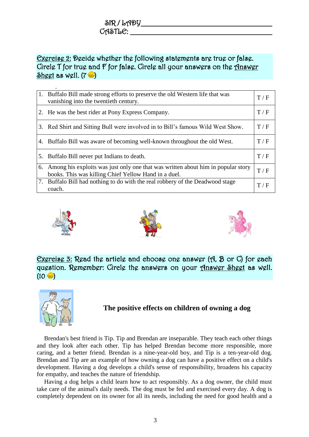## $\delta$ IR / LADY  $C$ ASTL $C$ :

# Exercise 2: Decide whether the following statements are true or false. Circle T for true and F for false. Circle all your answers on the Answer Sheet as well.  $(7 - )$

| 1. | Buffalo Bill made strong efforts to preserve the old Western life that was<br>vanishing into the twentieth century.                      | T/F |
|----|------------------------------------------------------------------------------------------------------------------------------------------|-----|
|    | 2. He was the best rider at Pony Express Company.                                                                                        | T/F |
|    | 3. Red Shirt and Sitting Bull were involved in to Bill's famous Wild West Show.                                                          | T/F |
|    | 4. Buffalo Bill was aware of becoming well-known throughout the old West.                                                                | T/F |
|    | 5. Buffalo Bill never put Indians to death.                                                                                              | T/F |
| 6. | Among his exploits was just only one that was written about him in popular story<br>books. This was killing Chief Yellow Hand in a duel. | T/F |
|    | 7. Buffalo Bill had nothing to do with the real robbery of the Deadwood stage<br>coach.                                                  | T/F |







Exercise 3: Read the article and choose one answer (A, B or C) for each question. Remember: Circle the answers on your <u>Answer Sheet</u> as well.  $(10 \bullet)$ 



# **The positive effects on children of owning a dog**

Brendan's best friend is Tip. Tip and Brendan are inseparable. They teach each other things and they look after each other. Tip has helped Brendan become more responsible, more caring, and a better friend. Brendan is a nine-year-old boy, and Tip is a ten-year-old dog. Brendan and Tip are an example of how owning a dog can have a positive effect on a child's development. Having a dog develops a child's sense of responsibility, broadens his capacity for empathy, and teaches the nature of friendship.

Having a dog helps a child learn how to act responsibly. As a dog owner, the child must take care of the animal's daily needs. The dog must be fed and exercised every day. A dog is completely dependent on its owner for all its needs, including the need for good health and a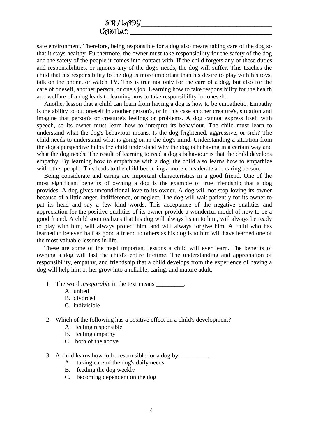safe environment. Therefore, being responsible for a dog also means taking care of the dog so that it stays healthy. Furthermore, the owner must take responsibility for the safety of the dog and the safety of the people it comes into contact with. If the child forgets any of these duties and responsibilities, or ignores any of the dog's needs, the dog will suffer. This teaches the child that his responsibility to the dog is more important than his desire to play with his toys, talk on the phone, or watch TV. This is true not only for the care of a dog, but also for the care of oneself, another person, or one's job. Learning how to take responsibility for the health and welfare of a dog leads to learning how to take responsibility for oneself.

Another lesson that a child can learn from having a dog is how to be empathetic. Empathy is the ability to put oneself in another person's, or in this case another creature's, situation and imagine that person's or creature's feelings or problems. A dog cannot express itself with speech, so its owner must learn how to interpret its behaviour. The child must learn to understand what the dog's behaviour means. Is the dog frightened, aggressive, or sick? The child needs to understand what is going on in the dog's mind. Understanding a situation from the dog's perspective helps the child understand why the dog is behaving in a certain way and what the dog needs. The result of learning to read a dog's behaviour is that the child develops empathy. By learning how to empathize with a dog, the child also learns how to empathize with other people. This leads to the child becoming a more considerate and caring person.

Being considerate and caring are important characteristics in a good friend. One of the most significant benefits of owning a dog is the example of true friendship that a dog provides. A dog gives unconditional love to its owner. A dog will not stop loving its owner because of a little anger, indifference, or neglect. The dog will wait patiently for its owner to pat its head and say a few kind words. This acceptance of the negative qualities and appreciation for the positive qualities of its owner provide a wonderful model of how to be a good friend. A child soon realizes that his dog will always listen to him, will always be ready to play with him, will always protect him, and will always forgive him. A child who has learned to be even half as good a friend to others as his dog is to him will have learned one of the most valuable lessons in life.

These are some of the most important lessons a child will ever learn. The benefits of owning a dog will last the child's entire lifetime. The understanding and appreciation of responsibility, empathy, and friendship that a child develops from the experience of having a dog will help him or her grow into a reliable, caring, and mature adult.

- 1. The word *inseparable* in the text means \_\_\_\_\_\_\_\_\_.
	- A. united
	- B. divorced
	- C. indivisible
- 2. Which of the following has a positive effect on a child's development?
	- A. feeling responsible
	- B. feeling empathy
	- C. both of the above
- 3. A child learns how to be responsible for a dog by \_\_\_\_\_\_\_\_\_.
	- A. taking care of the dog's daily needs
	- B. feeding the dog weekly
	- C. becoming dependent on the dog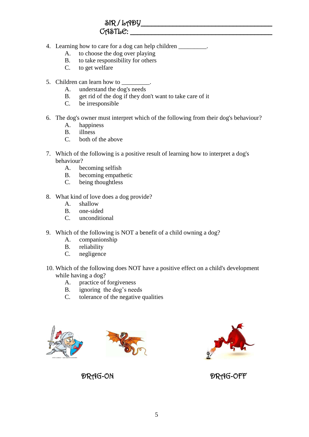- 4. Learning how to care for a dog can help children \_\_\_\_\_\_\_\_\_.
	- A. to choose the dog over playing
	- B. to take responsibility for others
	- C. to get welfare
- 5. Children can learn how to \_\_\_\_\_\_\_\_.
	- A. understand the dog's needs
	- B. get rid of the dog if they don't want to take care of it
	- C. be irresponsible
- 6. The dog's owner must interpret which of the following from their dog's behaviour?
	- A. happiness
	- B. illness
	- C. both of the above
- 7. Which of the following is a positive result of learning how to interpret a dog's behaviour?
	- A. becoming selfish
	- B. becoming empathetic
	- C. being thoughtless
- 8. What kind of love does a dog provide?
	- A. shallow
	- B. one-sided
	- C. unconditional
- 9. Which of the following is NOT a benefit of a child owning a dog?
	- A. companionship
	- B. reliability
	- C. negligence
- 10. Which of the following does NOT have a positive effect on a child's development while having a dog?
	- A. practice of forgiveness
	- B. ignoring the dog's needs
	- C. tolerance of the negative qualities







DRAG-ON DRAG-OFF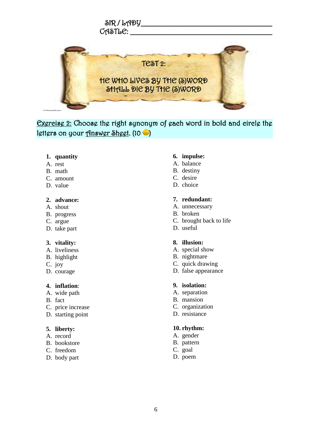

Exercise 2: Choose the right synonym of each word in bold and circle the letters on your Answer Sheet.  $(10 - )$ 

#### **1. quantity**

- A. [rest](http://learnersdictionary.com/quiz/vocabulary/2nd%20batch%20quizzes%20n.19)
- B. [math](http://learnersdictionary.com/quiz/vocabulary/2nd%20batch%20quizzes%20n.19)
- C. [amount](http://learnersdictionary.com/quiz/vocabulary/2nd%20batch%20quizzes%20n.19)
- D. [value](http://learnersdictionary.com/quiz/vocabulary/2nd%20batch%20quizzes%20n.19)

#### **2. advance:**

- A. [shout](http://learnersdictionary.com/quiz/vocabulary/2nd%20batch%20quizzes%20n.21)
- B. [progress](http://learnersdictionary.com/quiz/vocabulary/2nd%20batch%20quizzes%20n.21)
- C. [argue](http://learnersdictionary.com/quiz/vocabulary/2nd%20batch%20quizzes%20n.21)
- D. [take part](http://learnersdictionary.com/quiz/vocabulary/2nd%20batch%20quizzes%20n.21)

#### **3. vitality:**

- A. [liveliness](http://learnersdictionary.com/quiz/vocabulary/2nd%20batch%20quizzes%20n.21)
- B. [highlight](http://learnersdictionary.com/quiz/vocabulary/2nd%20batch%20quizzes%20n.21)
- C. [joy](http://learnersdictionary.com/quiz/vocabulary/2nd%20batch%20quizzes%20n.21)
- D. [courage](http://learnersdictionary.com/quiz/vocabulary/2nd%20batch%20quizzes%20n.21)

#### **4. inflation**:

- A. [wide path](http://learnersdictionary.com/quiz/vocabulary/learners%20dictionary%20vocabulary%20quiz%20n.%2019)
- B. [fact](http://learnersdictionary.com/quiz/vocabulary/learners%20dictionary%20vocabulary%20quiz%20n.%2019)
- C. [price increase](http://learnersdictionary.com/quiz/vocabulary/learners%20dictionary%20vocabulary%20quiz%20n.%2019)
- D. [starting point](http://learnersdictionary.com/quiz/vocabulary/learners%20dictionary%20vocabulary%20quiz%20n.%2019)

#### **5. liberty:**

- A. [record](http://learnersdictionary.com/quiz/vocabulary/learners%20dictionary%20vocabulary%20quiz%20n.%2019)
- B. [bookstore](http://learnersdictionary.com/quiz/vocabulary/learners%20dictionary%20vocabulary%20quiz%20n.%2019)
- C. [freedom](http://learnersdictionary.com/quiz/vocabulary/learners%20dictionary%20vocabulary%20quiz%20n.%2019)
- D. [body part](http://learnersdictionary.com/quiz/vocabulary/learners%20dictionary%20vocabulary%20quiz%20n.%2019)

#### **6. impulse:**

- A. [balance](http://learnersdictionary.com/quiz/vocabulary/learners%20dictionary%20vocabulary%20quiz%20n.%2019)
- B. [destiny](http://learnersdictionary.com/quiz/vocabulary/learners%20dictionary%20vocabulary%20quiz%20n.%2019)
- C. [desire](http://learnersdictionary.com/quiz/vocabulary/learners%20dictionary%20vocabulary%20quiz%20n.%2019)
- D. [choice](http://learnersdictionary.com/quiz/vocabulary/learners%20dictionary%20vocabulary%20quiz%20n.%2019)

#### **7. redundant:**

- A. [unnecessary](http://learnersdictionary.com/quiz/vocabulary/learners%20dictionary%20vocabulary%20quiz%20n.%2019)
- B. [broken](http://learnersdictionary.com/quiz/vocabulary/learners%20dictionary%20vocabulary%20quiz%20n.%2019)
- C. [brought back to life](http://learnersdictionary.com/quiz/vocabulary/learners%20dictionary%20vocabulary%20quiz%20n.%2019)
- D. [useful](http://learnersdictionary.com/quiz/vocabulary/learners%20dictionary%20vocabulary%20quiz%20n.%2019)

#### **8. illusion:**

- A. [special show](http://learnersdictionary.com/quiz/vocabulary/learners%20dictionary%20vocabulary%20quiz%20n.%2019)
- B. [nightmare](http://learnersdictionary.com/quiz/vocabulary/learners%20dictionary%20vocabulary%20quiz%20n.%2019)
- C. [quick drawing](http://learnersdictionary.com/quiz/vocabulary/learners%20dictionary%20vocabulary%20quiz%20n.%2019)
- D. [false appearance](http://learnersdictionary.com/quiz/vocabulary/learners%20dictionary%20vocabulary%20quiz%20n.%2019)

#### **9. isolation:**

- A. [separation](http://learnersdictionary.com/quiz/vocabulary/learners%20dictionary%20vocabulary%20quiz%20n.%2010)
- B. [mansion](http://learnersdictionary.com/quiz/vocabulary/learners%20dictionary%20vocabulary%20quiz%20n.%2010)
- C. [organization](http://learnersdictionary.com/quiz/vocabulary/learners%20dictionary%20vocabulary%20quiz%20n.%2010)
- D. [resistance](http://learnersdictionary.com/quiz/vocabulary/learners%20dictionary%20vocabulary%20quiz%20n.%2010)

#### **10. rhythm:**

- A. [gender](http://learnersdictionary.com/quiz/vocabulary/learners%20dictionary%20vocabulary%20quiz%20n.%2010)
- B. [pattern](http://learnersdictionary.com/quiz/vocabulary/learners%20dictionary%20vocabulary%20quiz%20n.%2010)
- C. [goal](http://learnersdictionary.com/quiz/vocabulary/learners%20dictionary%20vocabulary%20quiz%20n.%2010)
- D. [poem](http://learnersdictionary.com/quiz/vocabulary/learners%20dictionary%20vocabulary%20quiz%20n.%2010)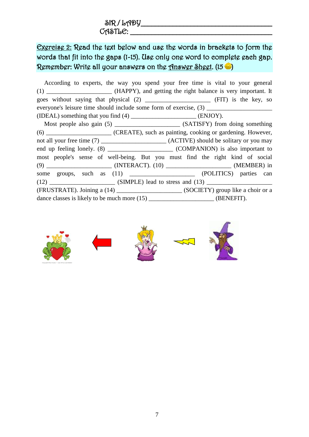$\delta$ R / LADY  $C$  $A$  $S$  $T$  $b$  $C$ :

# Exercise 2: Read the text below and use the words in brackets to form the words that fit into the gaps (1-15). Use only one word to complete each gap. Remember: Write all your answers on the Answer Sheet. (15

According to experts, the way you spend your free time is vital to your general (1) **The HAPPY**), and getting the right balance is very important. It goes without saying that physical (2) \_\_\_\_\_\_\_\_\_\_\_\_\_\_\_\_\_\_\_\_\_ (FIT) is the key, so everyone's leisure time should include some form of exercise, (3) \_\_\_\_\_\_\_\_\_\_\_\_\_\_\_ (IDEAL) something that you find (4) \_\_\_\_\_\_\_\_\_\_\_\_\_\_\_\_\_\_\_\_\_ (ENJOY). Most people also gain (5) \_\_\_\_\_\_\_\_\_\_\_\_\_\_\_\_\_\_\_\_\_ (SATISFY) from doing something (6) \_\_\_\_\_\_\_\_\_\_\_\_\_\_\_\_\_\_\_\_\_ (CREATE), such as painting, cooking or gardening. However, not all your free time (7) \_\_\_\_\_\_\_\_\_\_\_\_\_\_\_\_\_\_\_\_\_\_ (ACTIVE) should be solitary or you may end up feeling lonely. (8) \_\_\_\_\_\_\_\_\_\_\_\_\_\_\_\_\_\_\_\_\_ (COMPANION) is also important to most people's sense of well-being. But you must find the right kind of social (9) \_\_\_\_\_\_\_\_\_\_\_\_\_\_\_\_\_\_\_\_\_ (INTERACT). (10) \_\_\_\_\_\_\_\_\_\_\_\_\_\_\_\_\_\_\_\_\_ (MEMBER) in some groups, such as (11)  $(POLITICS)$  parties can  $(SIMPLE)$  lead to stress and  $(13)$ (FRUSTRATE). Joining a (14) \_\_\_\_\_\_\_\_\_\_\_\_\_\_\_\_\_\_\_\_\_ (SOCIETY) group like a choir or a dance classes is likely to be much more  $(15)$  \_\_\_\_\_\_\_\_\_\_\_\_\_\_\_\_\_\_\_\_\_\_\_\_ (BENEFIT).

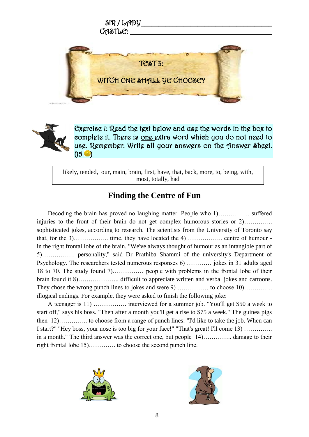



Exercise 1: Read the text below and use the words in the box to complete it. There is one extra word which you do not need to use. Remember: Write all your answers on the Answer Sheet.  $(15 - )$ 

likely, tended, our, main, brain, first, have, that, back, more, to, being, with, most, totally, had

# **Finding the Centre of Fun**

Decoding the brain has proved no laughing matter. People who 1)…………… suffered injuries to the front of their brain do not get complex humorous stories or 2)………….. sophisticated jokes, according to research. The scientists from the University of Toronto say that, for the  $3)$ …………... time, they have located the  $4)$  …………….. centre of humour in the right frontal lobe of the brain. "We've always thought of humour as an intangible part of 5)……………. personality," said Dr Prathiba Shammi of the university's Department of Psychology. The researchers tested numerous responses 6) ………… jokes in 31 adults aged 18 to 70. The study found 7)…………… people with problems in the frontal lobe of their brain found it 8)……………….. difficult to appreciate written and verbal jokes and cartoons. They chose the wrong punch lines to jokes and were 9) …………… to choose 10.………… illogical endings. For example, they were asked to finish the following joke:

A teenager is 11) ……………. interviewed for a summer job. "You'll get \$50 a week to start off," says his boss. "Then after a month you'll get a rise to \$75 a week." The guinea pigs then 12)………….. to choose from a range of punch lines: "I'd like to take the job. When can I start?" "Hey boss, your nose is too big for your face!" "That's great! I'll come 13) ………….. in a month." The third answer was the correct one, but people 14)………….. damage to their right frontal lobe 15)…………. to choose the second punch line.